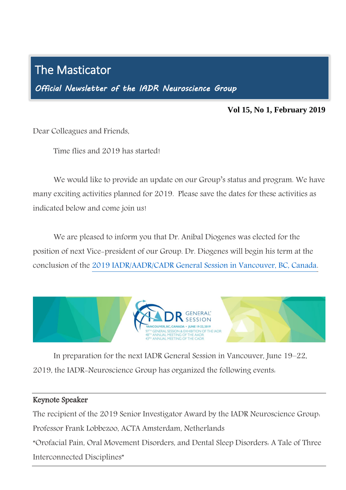# The Masticator

Ī

*Official Newsletter of the IADR Neuroscience Group* 

#### **Vol 15, No 1, February 2019**

Dear Colleagues and Friends,

Time flies and 2019 has started!

We would like to provide an update on our Group's status and program. We have many exciting activities planned for 2019. Please save the dates for these activities as indicated below and come join us!

We are pleased to inform you that Dr. Aníbal Diogenes was elected for the position of next Vice-president of our Group. Dr. Diogenes will begin his term at the conclusion of the [2019 IADR/AADR/CADR General Session in Vancouver, BC, Canada.](http://www.iadr.org/2019iags)



In preparation for the next IADR General Session in Vancouver, June 19–22, 2019, the IADR-Neuroscience Group has organized the following events:

#### Keynote Speaker

The recipient of the 2019 Senior Investigator Award by the IADR Neuroscience Group:

Professor Frank Lobbezoo, ACTA Amsterdam, Netherlands

"Orofacial Pain, Oral Movement Disorders, and Dental Sleep Disorders: A Tale of Three Interconnected Disciplines"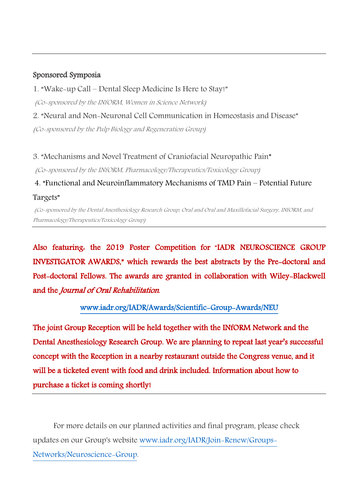### Sponsored Symposia

1. "Wake-up Call – Dental Sleep Medicine Is Here to Stay!"

(Co-sponsored by the INfORM, Women in Science Network)

2. "Neural and Non-Neuronal Cell Communication in Homeostasis and Disease"

(Co-sponsored by the Pulp Biology and Regeneration Group)

3. "Mechanisms and Novel Treatment of Craniofacial Neuropathic Pain"

(Co-sponsored by the INfORM, Pharmacology/Therapeutics/Toxicology Group)

4. "Functional and Neuroinflammatory Mechanisms of TMD Pain – Potential Future Targets"

(Co-sponsored by the Dental Anesthesiology Research Group, Oral and Oral and Maxillofacial Surgery, INfORM, and Pharmacology/Therapeutics/Toxicology Group)

Also featuring: the 2019 Poster Competition for "IADR NEUROSCIENCE GROUP INVESTIGATOR AWARDS," which rewards the best abstracts by the Pre-doctoral and Post-doctoral Fellows. The awards are granted in collaboration with Wiley-Blackwell and the Journal of Oral Rehabilitation.

## [www.iadr.org/IADR/Awards/Scientific-Group-Awards/NEU](http://www.iadr.org/IADR/Awards/Scientific-Group-Awards/NEU)

The joint Group Reception will be held together with the INfORM Network and the Dental Anesthesiology Research Group. We are planning to repeat last year's successful concept with the Reception in a nearby restaurant outside the Congress venue, and it will be a ticketed event with food and drink included. Information about how to purchase a ticket is coming shortly!

For more details on our planned activities and final program, please check updates on our Group's website [www.iadr.org/IADR/Join-Renew/Groups-](http://www.iadr.org/IADR/Join-Renew/Groups-Networks/Neuroscience-Group)[Networks/Neuroscience-Group.](http://www.iadr.org/IADR/Join-Renew/Groups-Networks/Neuroscience-Group)